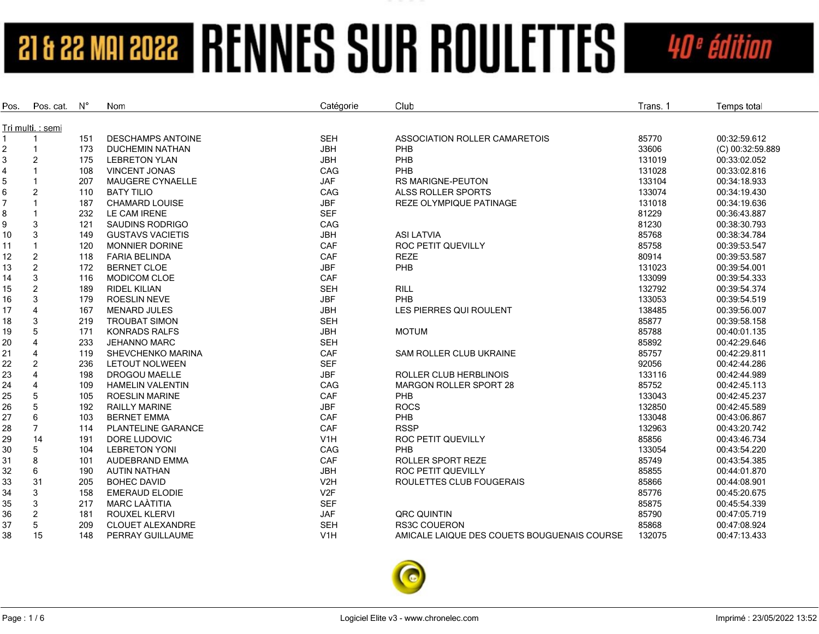| Pos.   | Pos. cat.              | $N^{\circ}$ | Nom                       | Catégorie        | Club                                        | Trans. 1 | Temps total      |
|--------|------------------------|-------------|---------------------------|------------------|---------------------------------------------|----------|------------------|
|        |                        |             |                           |                  |                                             |          |                  |
|        | Tri multi.: semi       | 151         | <b>DESCHAMPS ANTOINE</b>  | <b>SEH</b>       | ASSOCIATION ROLLER CAMARETOIS               | 85770    | 00:32:59.612     |
|        |                        | 173         | <b>DUCHEMIN NATHAN</b>    | <b>JBH</b>       | PHB                                         | 33606    | (C) 00:32:59.889 |
| 2<br>3 | 2                      | 175         | <b>LEBRETON YLAN</b>      | <b>JBH</b>       | PHB                                         | 131019   | 00:33:02.052     |
|        | $\mathbf{1}$           | 108         | <b>VINCENT JONAS</b>      | CAG              | PHB                                         | 131028   | 00:33:02.816     |
| 4<br>5 |                        | 207         | <b>MAUGERE CYNAELLE</b>   | <b>JAF</b>       | <b>RS MARIGNE-PEUTON</b>                    | 133104   | 00:34:18.933     |
| 6      | $\overline{2}$         | 110         | <b>BATY TILIO</b>         | CAG              | ALSS ROLLER SPORTS                          | 133074   | 00:34:19.430     |
| 7      |                        |             | <b>CHAMARD LOUISE</b>     | <b>JBF</b>       |                                             |          | 00:34:19.636     |
|        |                        | 187         |                           |                  | REZE OLYMPIQUE PATINAGE                     | 131018   |                  |
| 8      |                        | 232         | LE CAM IRENE              | <b>SEF</b>       |                                             | 81229    | 00:36:43.887     |
| 9      | 3                      | 121         | <b>SAUDINS RODRIGO</b>    | CAG              |                                             | 81230    | 00:38:30.793     |
| 10     | 3                      | 149         | <b>GUSTAVS VACIETIS</b>   | <b>JBH</b>       | <b>ASI LATVIA</b>                           | 85768    | 00:38:34.784     |
| 11     | $\mathbf{1}$           | 120         | MONNIER DORINE            | CAF              | ROC PETIT QUEVILLY                          | 85758    | 00:39:53.547     |
| 12     | $\overline{c}$         | 118         | <b>FARIA BELINDA</b>      | CAF              | <b>REZE</b>                                 | 80914    | 00:39:53.587     |
| 13     | $\overline{2}$         | 172         | <b>BERNET CLOE</b>        | <b>JBF</b>       | PHB                                         | 131023   | 00:39:54.001     |
| 14     | 3                      | 116         | MODICOM CLOE              | CAF              |                                             | 133099   | 00:39:54.333     |
| 15     | $\overline{c}$         | 189         | <b>RIDEL KILIAN</b>       | <b>SEH</b>       | <b>RILL</b>                                 | 132792   | 00:39:54.374     |
| 16     | 3                      | 179         | ROESLIN NEVE              | <b>JBF</b>       | PHB                                         | 133053   | 00:39:54.519     |
| 17     | $\Delta$               | 167         | <b>MENARD JULES</b>       | <b>JBH</b>       | LES PIERRES QUI ROULENT                     | 138485   | 00:39:56.007     |
| 18     | 3                      | 219         | <b>TROUBAT SIMON</b>      | <b>SEH</b>       |                                             | 85877    | 00:39:58.158     |
| 19     | 5                      | 171         | <b>KONRADS RALFS</b>      | <b>JBH</b>       | <b>MOTUM</b>                                | 85788    | 00:40:01.135     |
| 20     |                        | 233         | <b>JEHANNO MARC</b>       | <b>SEH</b>       |                                             | 85892    | 00:42:29.646     |
| 21     | $\Delta$               | 119         | SHEVCHENKO MARINA         | CAF              | SAM ROLLER CLUB UKRAINE                     | 85757    | 00:42:29.811     |
| 22     | 2                      | 236         | <b>LETOUT NOLWEEN</b>     | <b>SEF</b>       |                                             | 92056    | 00:42:44.286     |
| 23     |                        | 198         | <b>DROGOU MAELLE</b>      | <b>JBF</b>       | <b>ROLLER CLUB HERBLINOIS</b>               | 133116   | 00:42:44.989     |
| 24     | $\boldsymbol{\Lambda}$ | 109         | <b>HAMELIN VALENTIN</b>   | CAG              | <b>MARGON ROLLER SPORT 28</b>               | 85752    | 00:42:45.113     |
| 25     | 5                      | 105         | <b>ROESLIN MARINE</b>     | CAF              | PHB                                         | 133043   | 00:42:45.237     |
| 26     | 5                      | 192         | <b>RAILLY MARINE</b>      | <b>JBF</b>       | <b>ROCS</b>                                 | 132850   | 00:42:45.589     |
| 27     | 6                      | 103         | <b>BERNET EMMA</b>        | CAF              | PHB                                         | 133048   | 00:43:06.867     |
| 28     |                        | 114         | <b>PLANTELINE GARANCE</b> | CAF              | <b>RSSP</b>                                 | 132963   | 00:43:20.742     |
| 29     | 14                     | 191         | DORE LUDOVIC              | V <sub>1</sub> H | <b>ROC PETIT QUEVILLY</b>                   | 85856    | 00:43:46.734     |
| 30     | 5                      | 104         | <b>LEBRETON YONI</b>      | CAG              | PHB                                         | 133054   | 00:43:54.220     |
| 31     | 8                      | 101         | <b>AUDEBRAND EMMA</b>     | CAF              | <b>ROLLER SPORT REZE</b>                    | 85749    | 00:43:54.385     |
| 32     | 6                      | 190         | <b>AUTIN NATHAN</b>       | <b>JBH</b>       | <b>ROC PETIT QUEVILLY</b>                   | 85855    | 00:44:01.870     |
| 33     | 31                     | 205         | <b>BOHEC DAVID</b>        | V <sub>2</sub> H | ROULETTES CLUB FOUGERAIS                    | 85866    | 00:44:08.901     |
| 34     | 3                      | 158         | <b>EMERAUD ELODIE</b>     | V <sub>2F</sub>  |                                             | 85776    | 00:45:20.675     |
| 35     | 3                      | 217         | MARC LAÀTITIA             | <b>SEF</b>       |                                             | 85875    | 00:45:54.339     |
| 36     | $\overline{2}$         | 181         | <b>ROUXEL KLERVI</b>      | <b>JAF</b>       | <b>QRC QUINTIN</b>                          | 85790    | 00:47:05.719     |
| 37     | 5                      | 209         | <b>CLOUET ALEXANDRE</b>   | <b>SEH</b>       | <b>RS3C COUERON</b>                         | 85868    | 00:47:08.924     |
| 38     | 15                     | 148         | PERRAY GUILLAUME          | V <sub>1</sub> H | AMICALE LAIQUE DES COUETS BOUGUENAIS COURSE | 132075   | 00:47:13.433     |

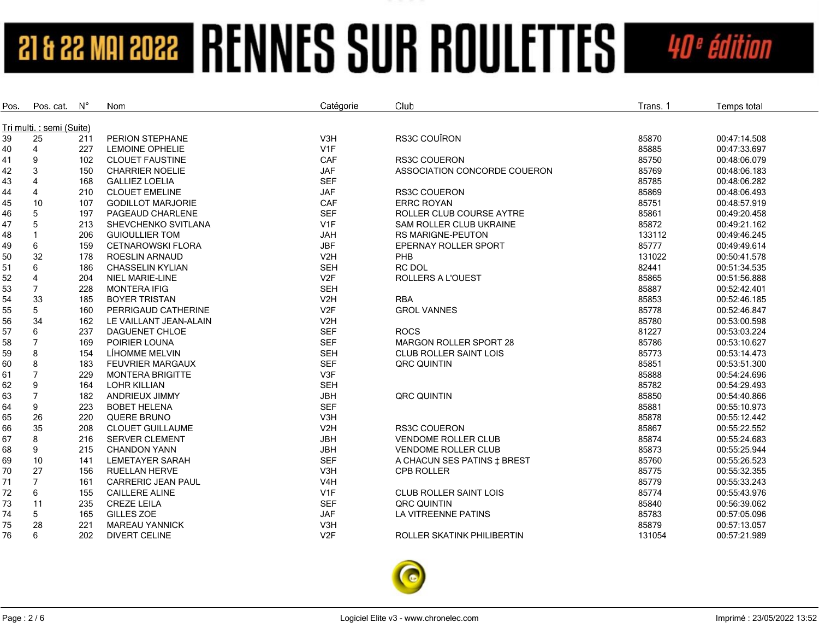| Pos.                      | Pos. cat.      | N°  | Nom                                            | Catégorie        | Club                           | Trans. 1       | Temps total                  |  |  |
|---------------------------|----------------|-----|------------------------------------------------|------------------|--------------------------------|----------------|------------------------------|--|--|
| Tri multi. : semi (Suite) |                |     |                                                |                  |                                |                |                              |  |  |
| 39                        | 25             | 211 | PERION STEPHANE                                | V <sub>3</sub> H | <b>RS3C COUÎRON</b>            | 85870          | 00:47:14.508                 |  |  |
|                           | 4              | 227 | <b>LEMOINE OPHELIE</b>                         | V1F              |                                | 85885          | 00:47:33.697                 |  |  |
| 40<br>41                  | 9              | 102 | <b>CLOUET FAUSTINE</b>                         | CAF              | <b>RS3C COUERON</b>            | 85750          | 00:48:06.079                 |  |  |
| 42                        | 3              | 150 | <b>CHARRIER NOELIE</b>                         | <b>JAF</b>       | ASSOCIATION CONCORDE COUERON   | 85769          | 00:48:06.183                 |  |  |
|                           | $\overline{4}$ | 168 |                                                | <b>SEF</b>       |                                |                |                              |  |  |
| 43                        | $\overline{4}$ | 210 | <b>GALLIEZ LOELIA</b><br><b>CLOUET EMELINE</b> |                  | <b>RS3C COUERON</b>            | 85785<br>85869 | 00:48:06.282<br>00:48:06.493 |  |  |
| 44                        |                |     |                                                | <b>JAF</b>       |                                |                |                              |  |  |
| 45                        | 10             | 107 | <b>GODILLOT MARJORIE</b>                       | CAF              | <b>ERRC ROYAN</b>              | 85751          | 00:48:57.919                 |  |  |
| 46                        | 5              | 197 | PAGEAUD CHARLENE                               | <b>SEF</b>       | ROLLER CLUB COURSE AYTRE       | 85861          | 00:49:20.458                 |  |  |
| 47                        | 5              | 213 | SHEVCHENKO SVITLANA                            | V <sub>1F</sub>  | <b>SAM ROLLER CLUB UKRAINE</b> | 85872          | 00:49:21.162                 |  |  |
| 48                        | $\mathbf{1}$   | 206 | <b>GUIOULLIER TOM</b>                          | <b>JAH</b>       | <b>RS MARIGNE-PEUTON</b>       | 133112         | 00:49:46.245                 |  |  |
| 49                        | 6              | 159 | <b>CETNAROWSKI FLORA</b>                       | <b>JBF</b>       | EPERNAY ROLLER SPORT           | 85777          | 00:49:49.614                 |  |  |
| 50                        | 32             | 178 | <b>ROESLIN ARNAUD</b>                          | V <sub>2</sub> H | PHB                            | 131022         | 00:50:41.578                 |  |  |
| 51                        | 6              | 186 | <b>CHASSELIN KYLIAN</b>                        | <b>SEH</b>       | RC DOL                         | 82441          | 00:51:34.535                 |  |  |
| 52                        | 4              | 204 | <b>NIEL MARIE-LINE</b>                         | V2F              | ROLLERS A L'OUEST              | 85865          | 00:51:56.888                 |  |  |
| 53                        | $\overline{7}$ | 228 | <b>MONTERA IFIG</b>                            | <b>SEH</b>       |                                | 85887          | 00:52:42.401                 |  |  |
| 54                        | 33             | 185 | <b>BOYER TRISTAN</b>                           | V <sub>2</sub> H | <b>RBA</b>                     | 85853          | 00:52:46.185                 |  |  |
| 55                        | 5              | 160 | PERRIGAUD CATHERINE                            | V <sub>2F</sub>  | <b>GROL VANNES</b>             | 85778          | 00:52:46.847                 |  |  |
| 56                        | 34             | 162 | LE VAILLANT JEAN-ALAIN                         | V <sub>2</sub> H |                                | 85780          | 00:53:00.598                 |  |  |
| 57                        | 6              | 237 | DAGUENET CHLOE                                 | <b>SEF</b>       | <b>ROCS</b>                    | 81227          | 00:53:03.224                 |  |  |
| 58                        | $\overline{7}$ | 169 | POIRIER LOUNA                                  | <b>SEF</b>       | MARGON ROLLER SPORT 28         | 85786          | 00:53:10.627                 |  |  |
| 59                        | 8              | 154 | LÍHOMME MELVIN                                 | <b>SEH</b>       | <b>CLUB ROLLER SAINT LOIS</b>  | 85773          | 00:53:14.473                 |  |  |
| 60                        | 8              | 183 | <b>FEUVRIER MARGAUX</b>                        | <b>SEF</b>       | <b>QRC QUINTIN</b>             | 85851          | 00:53:51.300                 |  |  |
| 61                        | $\overline{7}$ | 229 | <b>MONTERA BRIGITTE</b>                        | V3F              |                                | 85888          | 00:54:24.696                 |  |  |
| 62                        | 9              | 164 | <b>LOHR KILLIAN</b>                            | <b>SEH</b>       |                                | 85782          | 00:54:29.493                 |  |  |
| 63                        | $\overline{7}$ | 182 | ANDRIEUX JIMMY                                 | <b>JBH</b>       | QRC QUINTIN                    | 85850          | 00:54:40.866                 |  |  |
| 64                        | 9              | 223 | <b>BOBET HELENA</b>                            | <b>SEF</b>       |                                | 85881          | 00:55:10.973                 |  |  |
| 65                        | 26             | 220 | <b>QUERE BRUNO</b>                             | V3H              |                                | 85878          | 00:55:12.442                 |  |  |
| 66                        | 35             | 208 | <b>CLOUET GUILLAUME</b>                        | V <sub>2</sub> H | <b>RS3C COUERON</b>            | 85867          | 00:55:22.552                 |  |  |
| 67                        | 8              | 216 | <b>SERVER CLEMENT</b>                          | <b>JBH</b>       | <b>VENDOME ROLLER CLUB</b>     | 85874          | 00:55:24.683                 |  |  |
| 68                        | 9              | 215 | <b>CHANDON YANN</b>                            | <b>JBH</b>       | <b>VENDOME ROLLER CLUB</b>     | 85873          | 00:55:25.944                 |  |  |
| 69                        | 10             | 141 | <b>LEMETAYER SARAH</b>                         | <b>SEF</b>       | A CHACUN SES PATINS ‡ BREST    | 85760          | 00:55:26.523                 |  |  |
| 70                        | 27             | 156 | <b>RUELLAN HERVE</b>                           | V3H              | CPB ROLLER                     | 85775          | 00:55:32.355                 |  |  |
| 71                        | $\overline{7}$ | 161 | <b>CARRERIC JEAN PAUL</b>                      | V <sub>4</sub> H |                                | 85779          | 00:55:33.243                 |  |  |
| 72                        | 6              | 155 | <b>CAILLERE ALINE</b>                          | V1F              | CLUB ROLLER SAINT LOIS         | 85774          | 00:55:43.976                 |  |  |
| 73                        | 11             | 235 | <b>CREZE LEILA</b>                             | <b>SEF</b>       | QRC QUINTIN                    | 85840          | 00:56:39.062                 |  |  |
| 74                        | 5              | 165 | <b>GILLES ZOE</b>                              | <b>JAF</b>       | LA VITREENNE PATINS            | 85783          | 00:57:05.096                 |  |  |
| 75                        | 28             | 221 | <b>MAREAU YANNICK</b>                          | V <sub>3</sub> H |                                | 85879          | 00:57:13.057                 |  |  |
| 76                        | 6              | 202 | <b>DIVERT CELINE</b>                           | V <sub>2F</sub>  | ROLLER SKATINK PHILIBERTIN     | 131054         | 00:57:21.989                 |  |  |

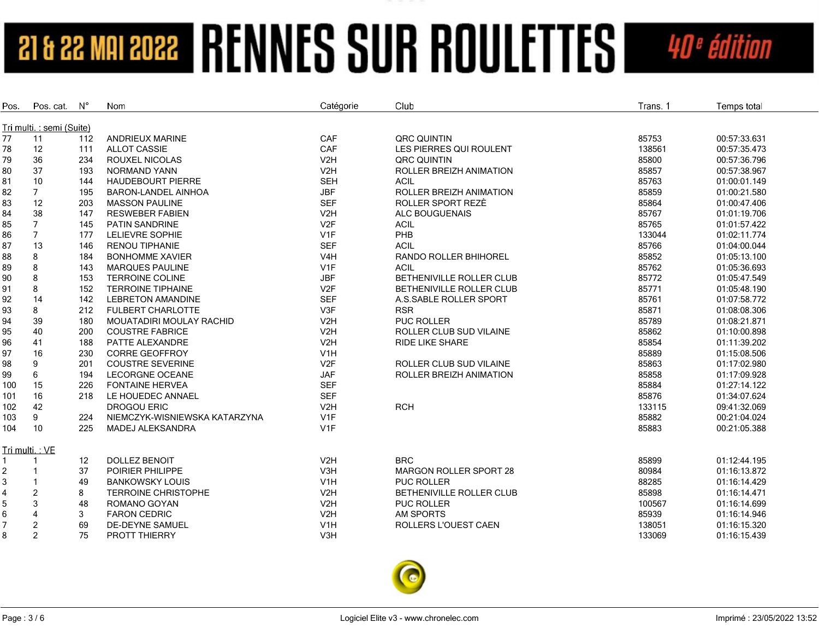| Pos.           | Pos. cat.                | $N^{\circ}$ | Nom                             | Catégorie        | Club                           | Trans. 1 | Temps total  |
|----------------|--------------------------|-------------|---------------------------------|------------------|--------------------------------|----------|--------------|
|                | Tri multi.: semi (Suite) |             |                                 |                  |                                |          |              |
| 77             | 11                       | 112         | <b>ANDRIEUX MARINE</b>          | CAF              | QRC QUINTIN                    | 85753    | 00:57:33.631 |
| 78             | 12                       | 111         | <b>ALLOT CASSIE</b>             | CAF              | LES PIERRES QUI ROULENT        | 138561   | 00:57:35.473 |
| 79             | 36                       | 234         | ROUXEL NICOLAS                  | V2H              | QRC QUINTIN                    | 85800    | 00:57:36.796 |
| 80             | 37                       | 193         | NORMAND YANN                    | V2H              | ROLLER BREIZH ANIMATION        | 85857    | 00:57:38.967 |
| 81             | 10                       | 144         | <b>HAUDEBOURT PIERRE</b>        | <b>SEH</b>       | <b>ACIL</b>                    | 85763    | 01:00:01.149 |
| 82             | $7^{\circ}$              | 195         | BARON-LANDEL AINHOA             | <b>JBF</b>       | ROLLER BREIZH ANIMATION        | 85859    | 01:00:21.580 |
| 83             | 12                       | 203         | <b>MASSON PAULINE</b>           | <b>SEF</b>       | ROLLER SPORT REZE              | 85864    | 01:00:47.406 |
| 84             | 38                       | 147         | <b>RESWEBER FABIEN</b>          | V2H              | ALC BOUGUENAIS                 | 85767    | 01:01:19.706 |
| 85             | $\overline{7}$           | 145         | PATIN SANDRINE                  | V <sub>2F</sub>  | <b>ACIL</b>                    | 85765    | 01:01:57.422 |
| 86             | $\overline{7}$           | 177         | LELIEVRE SOPHIE                 | V <sub>1F</sub>  | PHB                            | 133044   | 01:02:11.774 |
| 87             | 13                       | 146         | <b>RENOU TIPHANIE</b>           | <b>SEF</b>       | <b>ACIL</b>                    | 85766    | 01:04:00.044 |
|                | 8                        | 184         | <b>BONHOMME XAVIER</b>          | V <sub>4</sub> H | <b>RANDO ROLLER BHIHOREL</b>   | 85852    | 01:05:13.100 |
| 88             | 8                        | 143         | <b>MARQUES PAULINE</b>          | V <sub>1F</sub>  | <b>ACIL</b>                    | 85762    | 01:05:36.693 |
| 89<br>90       | 8                        | 153         | <b>TERROINE COLINE</b>          | <b>JBF</b>       | BETHENIVILLE ROLLER CLUB       | 85772    | 01:05:47.549 |
| 91             | 8                        | 152         | <b>TERROINE TIPHAINE</b>        | V <sub>2F</sub>  | BETHENIVILLE ROLLER CLUB       | 85771    | 01:05:48.190 |
|                | 14                       | 142         | <b>LEBRETON AMANDINE</b>        | <b>SEF</b>       | A.S.SABLE ROLLER SPORT         | 85761    | 01:07:58.772 |
| 92<br>93       | 8                        | 212         | <b>FULBERT CHARLOTTE</b>        | V3F              | <b>RSR</b>                     | 85871    | 01:08:08.306 |
|                | 39                       |             | <b>MOUATADIRI MOULAY RACHID</b> |                  | <b>PUC ROLLER</b>              | 85789    | 01:08:21.871 |
| 94             | 40                       | 180         |                                 | V <sub>2</sub> H |                                |          |              |
| 95             |                          | 200         | <b>COUSTRE FABRICE</b>          | V2H              | <b>ROLLER CLUB SUD VILAINE</b> | 85862    | 01:10:00.898 |
| 96             | 41                       | 188         | PATTE ALEXANDRE                 | V <sub>2</sub> H | <b>RIDE LIKE SHARE</b>         | 85854    | 01:11:39.202 |
| 97             | 16                       | 230         | <b>CORRE GEOFFROY</b>           | V1H              |                                | 85889    | 01:15:08.506 |
| 98             | 9                        | 201         | <b>COUSTRE SEVERINE</b>         | V <sub>2F</sub>  | <b>ROLLER CLUB SUD VILAINE</b> | 85863    | 01:17:02.980 |
| 99             | 6                        | 194         | <b>LECORGNE OCEANE</b>          | <b>JAF</b>       | ROLLER BREIZH ANIMATION        | 85858    | 01:17:09.928 |
| 100            | 15                       | 226         | <b>FONTAINE HERVEA</b>          | <b>SEF</b>       |                                | 85884    | 01:27:14.122 |
| 101            | 16                       | 218         | LE HOUEDEC ANNAEL               | <b>SEF</b>       |                                | 85876    | 01:34:07.624 |
| 102            | 42                       |             | <b>DROGOU ERIC</b>              | V2H              | <b>RCH</b>                     | 133115   | 09:41:32.069 |
| 103            | 9                        | 224         | NIEMCZYK-WISNIEWSKA KATARZYNA   | V1F              |                                | 85882    | 00:21:04.024 |
| 104            | 10                       | 225         | <b>MADEJ ALEKSANDRA</b>         | V <sub>1F</sub>  |                                | 85883    | 00:21:05.388 |
|                | Tri multi.: VE           |             |                                 |                  |                                |          |              |
|                |                          | 12          | <b>DOLLEZ BENOIT</b>            | V2H              | <b>BRC</b>                     | 85899    | 01:12:44.195 |
| $\overline{2}$ |                          | 37          | POIRIER PHILIPPE                | V3H              | <b>MARGON ROLLER SPORT 28</b>  | 80984    | 01:16:13.872 |
| 3              |                          | 49          | <b>BANKOWSKY LOUIS</b>          | V <sub>1</sub> H | <b>PUC ROLLER</b>              | 88285    | 01:16:14.429 |
| 4              | $\overline{2}$           | 8           | <b>TERROINE CHRISTOPHE</b>      | V <sub>2</sub> H | BETHENIVILLE ROLLER CLUB       | 85898    | 01:16:14.471 |
| 5              | 3                        | 48          | ROMANO GOYAN                    | V2H              | <b>PUC ROLLER</b>              | 100567   | 01:16:14.699 |
| 6              | $\overline{4}$           | 3           | <b>FARON CEDRIC</b>             | V2H              | <b>AM SPORTS</b>               | 85939    | 01:16:14.946 |
| $\overline{7}$ | $\overline{c}$           | 69          | DE-DEYNE SAMUEL                 | V <sub>1</sub> H | ROLLERS L'OUEST CAEN           | 138051   | 01:16:15.320 |
| 8              | 2                        | 75          | PROTT THIERRY                   | V <sub>3</sub> H |                                | 133069   | 01:16:15.439 |

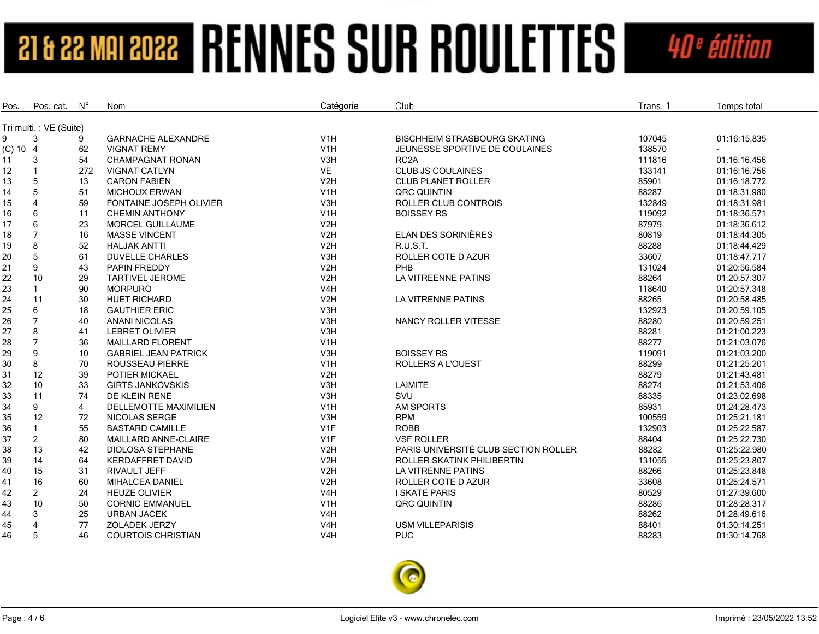| Pos.       | Pos. cat.              | $\mathsf{N}^\circ$ | Nom                            | Catégorie        | Club                                 | Trans. 1 | Temps total  |
|------------|------------------------|--------------------|--------------------------------|------------------|--------------------------------------|----------|--------------|
|            | Tri multi.: VE (Suite) |                    |                                |                  |                                      |          |              |
| 9          | 3                      | 9                  | <b>GARNACHE ALEXANDRE</b>      | V <sub>1</sub> H | <b>BISCHHEIM STRASBOURG SKATING</b>  | 107045   | 01:16:15.835 |
| $(C)$ 10 4 |                        | 62                 | <b>VIGNAT REMY</b>             | V1H              | JEUNESSE SPORTIVE DE COULAINES       | 138570   |              |
| 11         | 3                      | 54                 | <b>CHAMPAGNAT RONAN</b>        | V3H              | RC <sub>2</sub> A                    | 111816   | 01:16:16.456 |
| 12         | $\mathbf{1}$           | 272                | <b>VIGNAT CATLYN</b>           | VE               | <b>CLUB JS COULAINES</b>             | 133141   | 01:16:16.756 |
| 13         | 5                      | 13                 | <b>CARON FABIEN</b>            | V2H              | <b>CLUB PLANET ROLLER</b>            | 85901    | 01:16:18.772 |
| 14         | 5                      | 51                 | <b>MICHOUX ERWAN</b>           | V1H              | <b>QRC QUINTIN</b>                   | 88287    | 01:18:31.980 |
| 15         | $\overline{4}$         | 59                 | <b>FONTAINE JOSEPH OLIVIER</b> | V3H              | ROLLER CLUB CONTROIS                 | 132849   | 01:18:31.981 |
| 16         | 6                      | 11                 | <b>CHEMIN ANTHONY</b>          | V1H              | <b>BOISSEY RS</b>                    | 119092   | 01:18:36.571 |
| 17         | 6                      | 23                 | <b>MORCEL GUILLAUME</b>        | V2H              |                                      | 87979    | 01:18:36.612 |
| 18         | $\overline{7}$         | 16                 | <b>MASSE VINCENT</b>           | V2H              | <b>ELAN DES SORINIËRES</b>           | 80819    | 01:18:44.305 |
| 19         | 8                      | 52                 | <b>HALJAK ANTTI</b>            | V2H              | <b>R.U.S.T.</b>                      | 88288    | 01:18:44.429 |
| 20         | 5                      | 61                 | <b>DUVELLE CHARLES</b>         | V3H              | ROLLER COTE D AZUR                   | 33607    | 01:18:47.717 |
| 21         | 9                      | 43                 | <b>PAPIN FREDDY</b>            | V2H              | <b>PHB</b>                           | 131024   | 01:20:56.584 |
| 22         | 10                     | 29                 | <b>TARTIVEL JEROME</b>         | V2H              | LA VITREENNE PATINS                  | 88264    | 01:20:57.307 |
| 23         |                        | 90                 | <b>MORPURO</b>                 | V <sub>4</sub> H |                                      | 118640   | 01:20:57.348 |
| 24         | 11                     | 30                 | <b>HUET RICHARD</b>            | V2H              | <b>LA VITRENNE PATINS</b>            | 88265    | 01:20:58.485 |
| 25         | 6                      | 18                 | <b>GAUTHIER ERIC</b>           | V3H              |                                      | 132923   | 01:20:59.105 |
| 26         | $\overline{7}$         | 40                 | <b>ANANI NICOLAS</b>           | V3H              | NANCY ROLLER VITESSE                 | 88280    | 01:20:59.251 |
| 27         | 8                      | 41                 | <b>LEBRET OLIVIER</b>          | V3H              |                                      | 88281    | 01:21:00.223 |
| 28         | $\overline{7}$         | 36                 | <b>MAILLARD FLORENT</b>        | V1H              |                                      | 88277    | 01:21:03.076 |
| 29         | 9                      | 10                 | <b>GABRIEL JEAN PATRICK</b>    | V3H              | <b>BOISSEY RS</b>                    | 119091   | 01:21:03.200 |
| 30         | 8                      | 70                 | <b>ROUSSEAU PIERRE</b>         | V <sub>1</sub> H | <b>ROLLERS A L'OUEST</b>             | 88299    | 01:21:25.201 |
| 31         | 12                     | 39                 | POTIER MICKAEL                 | V2H              |                                      | 88279    | 01:21:43.481 |
| 32         | 10                     | 33                 | <b>GIRTS JANKOVSKIS</b>        | V3H              | <b>LAIMITE</b>                       | 88274    | 01:21:53.406 |
| 33         | 11                     | 74                 | DE KLEIN RENE                  | V3H              | SVU                                  | 88335    | 01:23:02.698 |
| 34         | 9                      | $\overline{4}$     | <b>DELLEMOTTE MAXIMILIEN</b>   | V <sub>1</sub> H | <b>AM SPORTS</b>                     | 85931    | 01:24:28.473 |
| 35         | 12                     | 72                 | <b>NICOLAS SERGE</b>           | V <sub>3</sub> H | <b>RPM</b>                           | 100559   | 01:25:21.181 |
| 36         |                        | 55                 | <b>BASTARD CAMILLE</b>         | V <sub>1F</sub>  | <b>ROBB</b>                          | 132903   | 01:25:22.587 |
| 37         | $\overline{2}$         | 80                 | MAILLARD ANNE-CLAIRE           | V <sub>1F</sub>  | <b>VSF ROLLER</b>                    | 88404    | 01:25:22.730 |
| 38         | 13                     | 42                 | <b>DIOLOSA STEPHANE</b>        | V2H              | PARIS UNIVERSITÈ CLUB SECTION ROLLER | 88282    | 01:25:22.980 |
| 39         | 14                     | 64                 | <b>KERDAFFRET DAVID</b>        | V2H              | ROLLER SKATINK PHILIBERTIN           | 131055   | 01:25:23.807 |
| 40         | 15                     | 31                 | <b>RIVAULT JEFF</b>            | V2H              | LA VITRENNE PATINS                   | 88266    | 01:25:23.848 |
| 41         | 16                     | 60                 | <b>MIHALCEA DANIEL</b>         | V2H              | ROLLER COTE D AZUR                   | 33608    | 01:25:24.571 |
| 42         | $\overline{2}$         | 24                 | <b>HEUZE OLIVIER</b>           | V <sub>4</sub> H | <b>I SKATE PARIS</b>                 | 80529    | 01:27:39.600 |
| 43         | 10                     | 50                 | <b>CORNIC EMMANUEL</b>         | V <sub>1</sub> H | <b>QRC QUINTIN</b>                   | 88286    | 01:28:28.317 |
| 44         | 3                      | 25                 | <b>URBAN JACEK</b>             | V <sub>4</sub> H |                                      | 88262    | 01:28:49.616 |
| 45         | $\overline{4}$         | 77                 | <b>ZOLADEK JERZY</b>           | V4H              | <b>USM VILLEPARISIS</b>              | 88401    | 01:30:14.251 |
| 46         | 5                      | 46                 | <b>COURTOIS CHRISTIAN</b>      | V <sub>4</sub> H | <b>PUC</b>                           | 88283    | 01:30:14.768 |

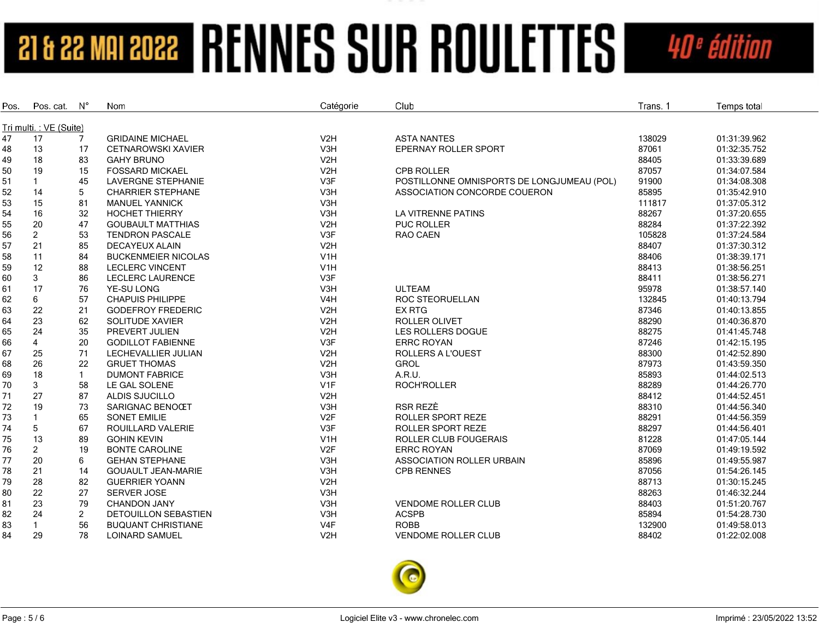| Pos.     | Pos. cat.              | $N^{\circ}$    | Nom                               | Catégorie                           | Club                                       | Trans. 1       | Temps total                  |
|----------|------------------------|----------------|-----------------------------------|-------------------------------------|--------------------------------------------|----------------|------------------------------|
|          | Tri multi.: VE (Suite) |                |                                   |                                     |                                            |                |                              |
| 47       | 17                     | 7              | <b>GRIDAINE MICHAEL</b>           | V2H                                 | <b>ASTA NANTES</b>                         | 138029         | 01:31:39.962                 |
| 48       | 13                     | 17             | <b>CETNAROWSKI XAVIER</b>         | V3H                                 | EPERNAY ROLLER SPORT                       | 87061          | 01:32:35.752                 |
| 49       | 18                     | 83             | <b>GAHY BRUNO</b>                 | V2H                                 |                                            | 88405          | 01:33:39.689                 |
| 50       | 19                     | 15             | <b>FOSSARD MICKAEL</b>            | V2H                                 | CPB ROLLER                                 | 87057          | 01:34:07.584                 |
| 51       | $\mathbf{1}$           | 45             | <b>LAVERGNE STEPHANIE</b>         | V3F                                 | POSTILLONNE OMNISPORTS DE LONGJUMEAU (POL) | 91900          | 01:34:08.308                 |
| 52       | 14                     | 5              | <b>CHARRIER STEPHANE</b>          | V3H                                 | ASSOCIATION CONCORDE COUERON               | 85895          | 01:35:42.910                 |
| 53       | 15                     | 81             | <b>MANUEL YANNICK</b>             | V3H                                 |                                            | 111817         | 01:37:05.312                 |
| 54       | 16                     | 32             | <b>HOCHET THIERRY</b>             | V3H                                 | LA VITRENNE PATINS                         | 88267          | 01:37:20.655                 |
| 55       | 20                     | 47             | <b>GOUBAULT MATTHIAS</b>          | V2H                                 | <b>PUC ROLLER</b>                          | 88284          | 01:37:22.392                 |
| 56       | $\overline{2}$         | 53             | <b>TENDRON PASCALE</b>            | V3F                                 | RAO CAEN                                   | 105828         | 01:37:24.584                 |
| 57       | 21                     | 85             | <b>DECAYEUX ALAIN</b>             | V2H                                 |                                            | 88407          | 01:37:30.312                 |
| 58       | 11                     | 84             | <b>BUCKENMEIER NICOLAS</b>        | V <sub>1</sub> H                    |                                            | 88406          | 01:38:39.171                 |
| 59       | 12                     | 88             | <b>LECLERC VINCENT</b>            | V <sub>1</sub> H                    |                                            | 88413          | 01:38:56.251                 |
| 60       | 3                      | 86             | <b>LECLERC LAURENCE</b>           | V3F                                 |                                            | 88411          | 01:38:56.271                 |
| 61       | 17                     | 76             | YE-SU LONG                        | V3H                                 | <b>ULTEAM</b>                              | 95978          | 01:38:57.140                 |
| 62       | 6                      | 57             | <b>CHAPUIS PHILIPPE</b>           | V <sub>4</sub> H                    | ROC STEORUELLAN                            | 132845         | 01:40:13.794                 |
| 63       | 22                     | 21             | <b>GODEFROY FREDERIC</b>          | V2H                                 | <b>EX RTG</b>                              | 87346          | 01:40:13.855                 |
| 64       | 23                     | 62             | SOLITUDE XAVIER                   | V2H                                 | <b>ROLLER OLIVET</b>                       | 88290          | 01:40:36.870                 |
| 65       | 24                     | 35             | PREVERT JULIEN                    | V2H                                 | LES ROLLERS DOGUE                          | 88275          | 01:41:45.748                 |
| 66       | $\overline{4}$         | 20             | <b>GODILLOT FABIENNE</b>          | V3F                                 | <b>ERRC ROYAN</b>                          | 87246          | 01:42:15.195                 |
| 67       | 25                     | 71             | LECHEVALLIER JULIAN               | V <sub>2</sub> H                    | <b>ROLLERS A L'OUEST</b>                   | 88300          | 01:42:52.890                 |
|          | 26                     | 22             | <b>GRUET THOMAS</b>               | V2H                                 | <b>GROL</b>                                | 87973          | 01:43:59.350                 |
| 68       | 18                     | $\mathbf{1}$   | <b>DUMONT FABRICE</b>             | V3H                                 | A.R.U.                                     | 85893          | 01:44:02.513                 |
| 69<br>70 | 3                      | 58             | LE GAL SOLENE                     | V <sub>1F</sub>                     | ROCH'ROLLER                                | 88289          | 01:44:26.770                 |
|          | 27                     |                |                                   | V <sub>2</sub> H                    |                                            | 88412          |                              |
| 71       | 19                     | 87<br>73       | ALDIS SJUCILLO<br>SARIGNAC BENOŒT |                                     | RSR REZÈ                                   | 88310          | 01:44:52.451<br>01:44:56.340 |
| 72       | $\mathbf{1}$           | 65             | <b>SONET EMILIE</b>               | V3H<br>V <sub>2F</sub>              | ROLLER SPORT REZE                          | 88291          | 01:44:56.359                 |
| 73       | 5                      |                |                                   |                                     | <b>ROLLER SPORT REZE</b>                   | 88297          | 01:44:56.401                 |
| 74       | 13                     | 67             | ROUILLARD VALERIE                 | V3F                                 |                                            |                |                              |
| 75       |                        | 89             | <b>GOHIN KEVIN</b>                | V <sub>1</sub> H<br>V <sub>2F</sub> | ROLLER CLUB FOUGERAIS                      | 81228<br>87069 | 01:47:05.144                 |
| 76       | $\overline{2}$         | 19             | <b>BONTE CAROLINE</b>             |                                     | ERRC ROYAN                                 |                | 01:49:19.592                 |
| 77       | 20                     | 6              | <b>GEHAN STEPHANE</b>             | V3H                                 | ASSOCIATION ROLLER URBAIN                  | 85896          | 01:49:55.987                 |
| 78       | 21                     | 14             | <b>GOUAULT JEAN-MARIE</b>         | V3H                                 | <b>CPB RENNES</b>                          | 87056          | 01:54:26.145                 |
| 79       | 28                     | 82             | <b>GUERRIER YOANN</b>             | V2H                                 |                                            | 88713          | 01:30:15.245                 |
| 80       | 22                     | 27             | SERVER JOSE                       | V3H                                 |                                            | 88263          | 01:46:32.244                 |
| 81       | 23                     | 79             | CHANDON JANY                      | V3H                                 | <b>VENDOME ROLLER CLUB</b>                 | 88403          | 01:51:20.767                 |
| 82       | 24                     | $\overline{c}$ | <b>DETOUILLON SEBASTIEN</b>       | V3H                                 | <b>ACSPB</b>                               | 85894          | 01:54:28.730                 |
| 83       | $\mathbf{1}$           | 56             | <b>BUQUANT CHRISTIANE</b>         | V4F                                 | <b>ROBB</b>                                | 132900         | 01:49:58.013                 |
| 84       | 29                     | 78             | <b>LOINARD SAMUEL</b>             | V <sub>2</sub> H                    | <b>VENDOME ROLLER CLUB</b>                 | 88402          | 01:22:02.008                 |